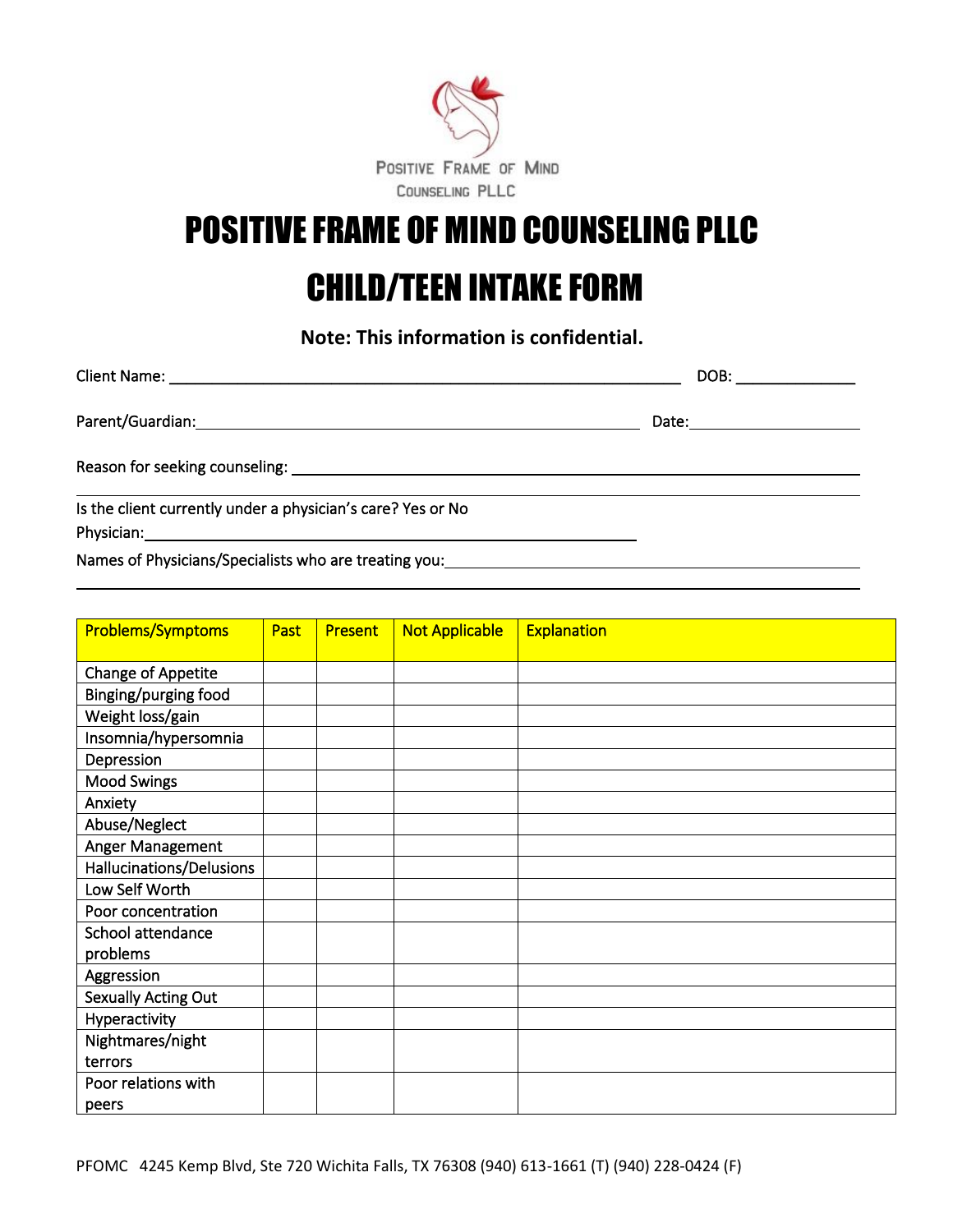

# POSITIVE FRAME OF MIND COUNSELING PLLC

## CHILD/TEEN INTAKE FORM

**Note: This information is confidential.**

|                                                             | DOB: _______________          |
|-------------------------------------------------------------|-------------------------------|
|                                                             | Date:________________________ |
|                                                             |                               |
| Is the client currently under a physician's care? Yes or No |                               |
|                                                             |                               |
|                                                             |                               |

l

|                          | Past | <b>Present</b> |                       |                    |
|--------------------------|------|----------------|-----------------------|--------------------|
| <b>Problems/Symptoms</b> |      |                | <b>Not Applicable</b> | <b>Explanation</b> |
|                          |      |                |                       |                    |
| Change of Appetite       |      |                |                       |                    |
| Binging/purging food     |      |                |                       |                    |
| Weight loss/gain         |      |                |                       |                    |
| Insomnia/hypersomnia     |      |                |                       |                    |
| Depression               |      |                |                       |                    |
| <b>Mood Swings</b>       |      |                |                       |                    |
| Anxiety                  |      |                |                       |                    |
| Abuse/Neglect            |      |                |                       |                    |
| Anger Management         |      |                |                       |                    |
| Hallucinations/Delusions |      |                |                       |                    |
| Low Self Worth           |      |                |                       |                    |
| Poor concentration       |      |                |                       |                    |
| School attendance        |      |                |                       |                    |
| problems                 |      |                |                       |                    |
| Aggression               |      |                |                       |                    |
| Sexually Acting Out      |      |                |                       |                    |
| Hyperactivity            |      |                |                       |                    |
| Nightmares/night         |      |                |                       |                    |
| terrors                  |      |                |                       |                    |
| Poor relations with      |      |                |                       |                    |
| peers                    |      |                |                       |                    |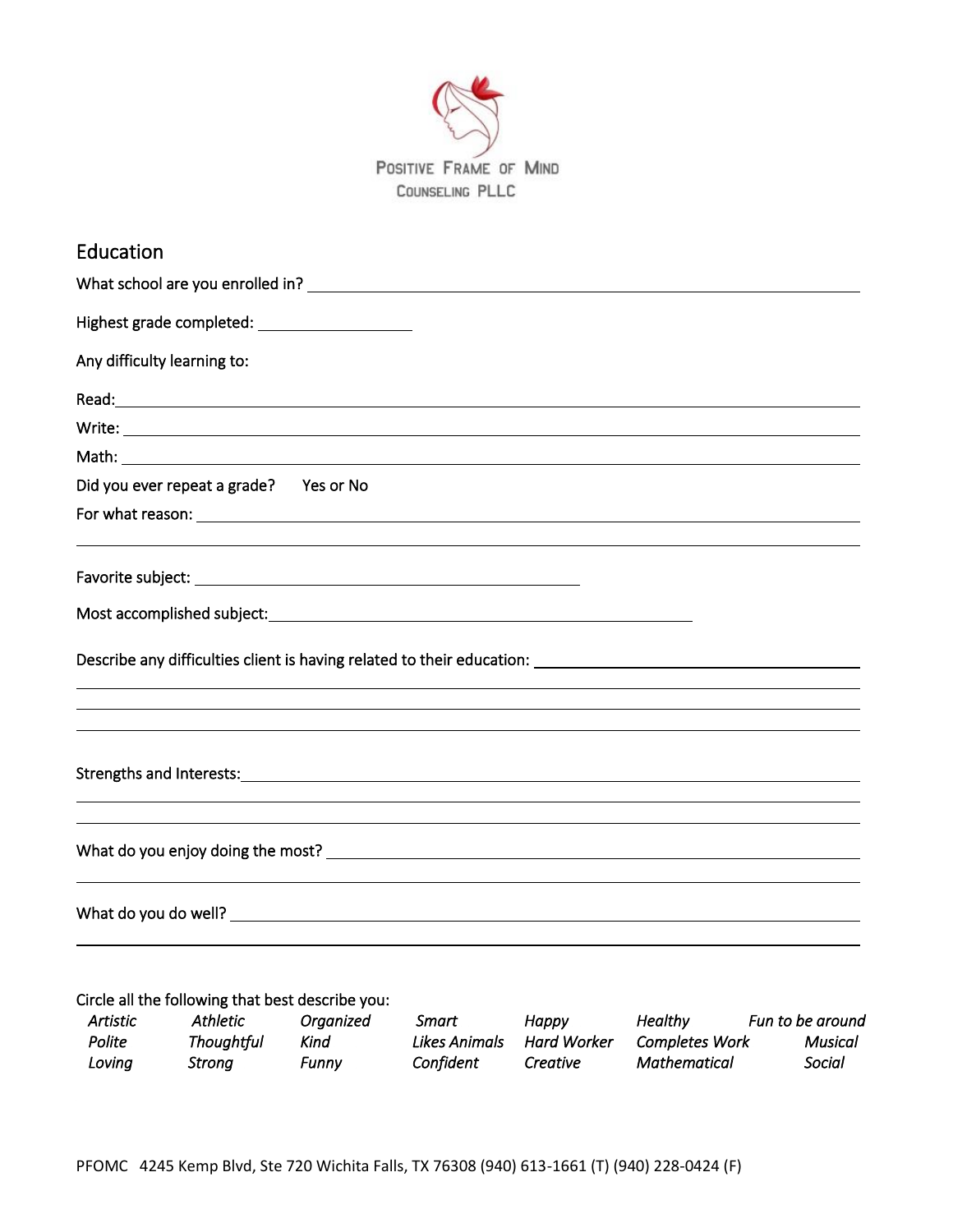

| Education                                                                                                     |
|---------------------------------------------------------------------------------------------------------------|
|                                                                                                               |
| Highest grade completed: _______________________                                                              |
| Any difficulty learning to:                                                                                   |
|                                                                                                               |
|                                                                                                               |
|                                                                                                               |
| Did you ever repeat a grade? Yes or No                                                                        |
|                                                                                                               |
|                                                                                                               |
|                                                                                                               |
| Most accomplished subject: Notified and the set of the set of the set of the set of the set of the set of the |
|                                                                                                               |
|                                                                                                               |
|                                                                                                               |
|                                                                                                               |
|                                                                                                               |
|                                                                                                               |
|                                                                                                               |
|                                                                                                               |
|                                                                                                               |

#### Circle all the following that best describe you:

| Artistic | Athletic   | Organized | Smart         | Happy       | <b>Healthy</b>        | Fun to be around |
|----------|------------|-----------|---------------|-------------|-----------------------|------------------|
| Polite   | Thoughtful | Kind      | Likes Animals | Hard Worker | <b>Completes Work</b> | Musical          |
| Loving   | Strona     | Funnv     | Confident     | Creative    | Mathematical          | Social           |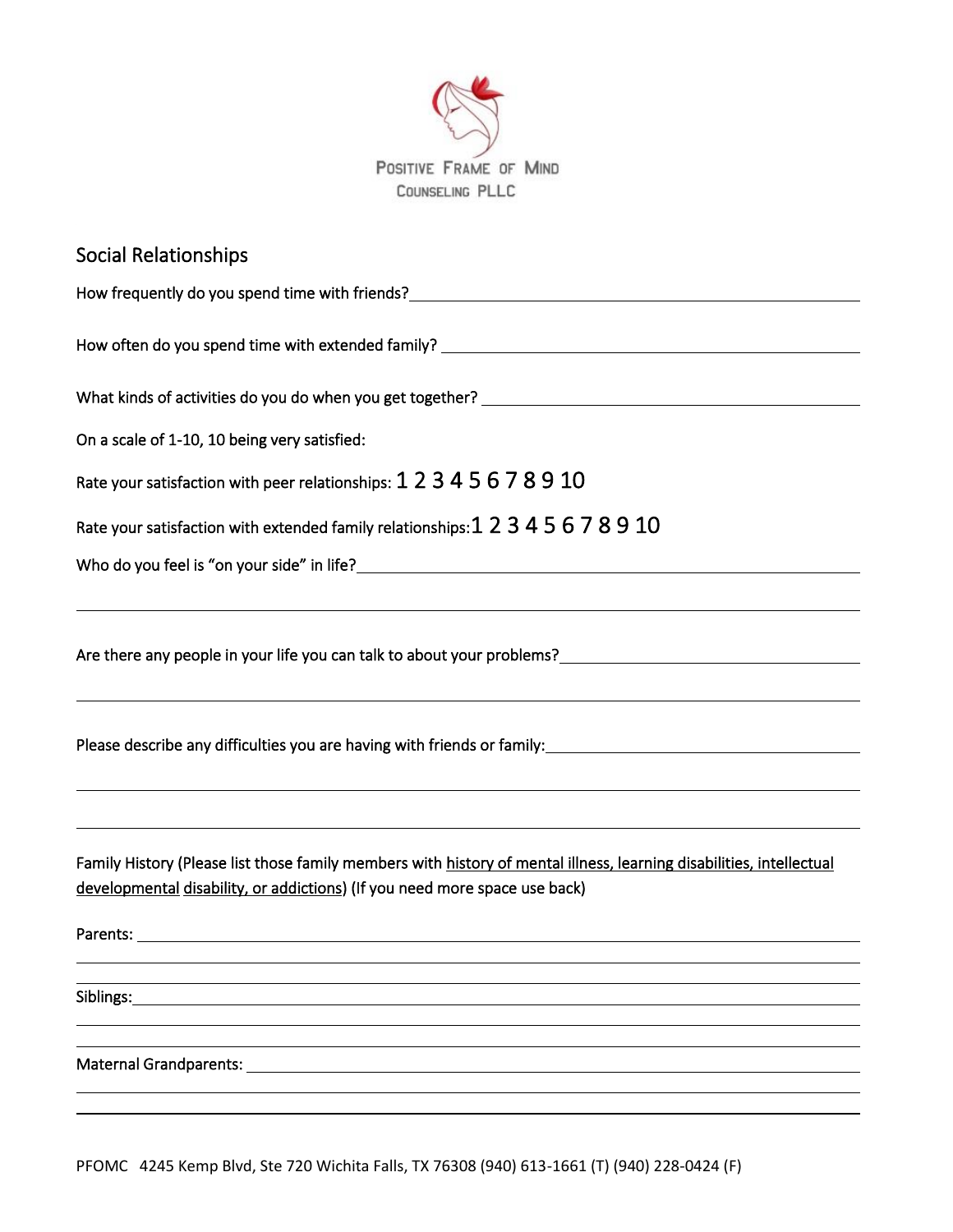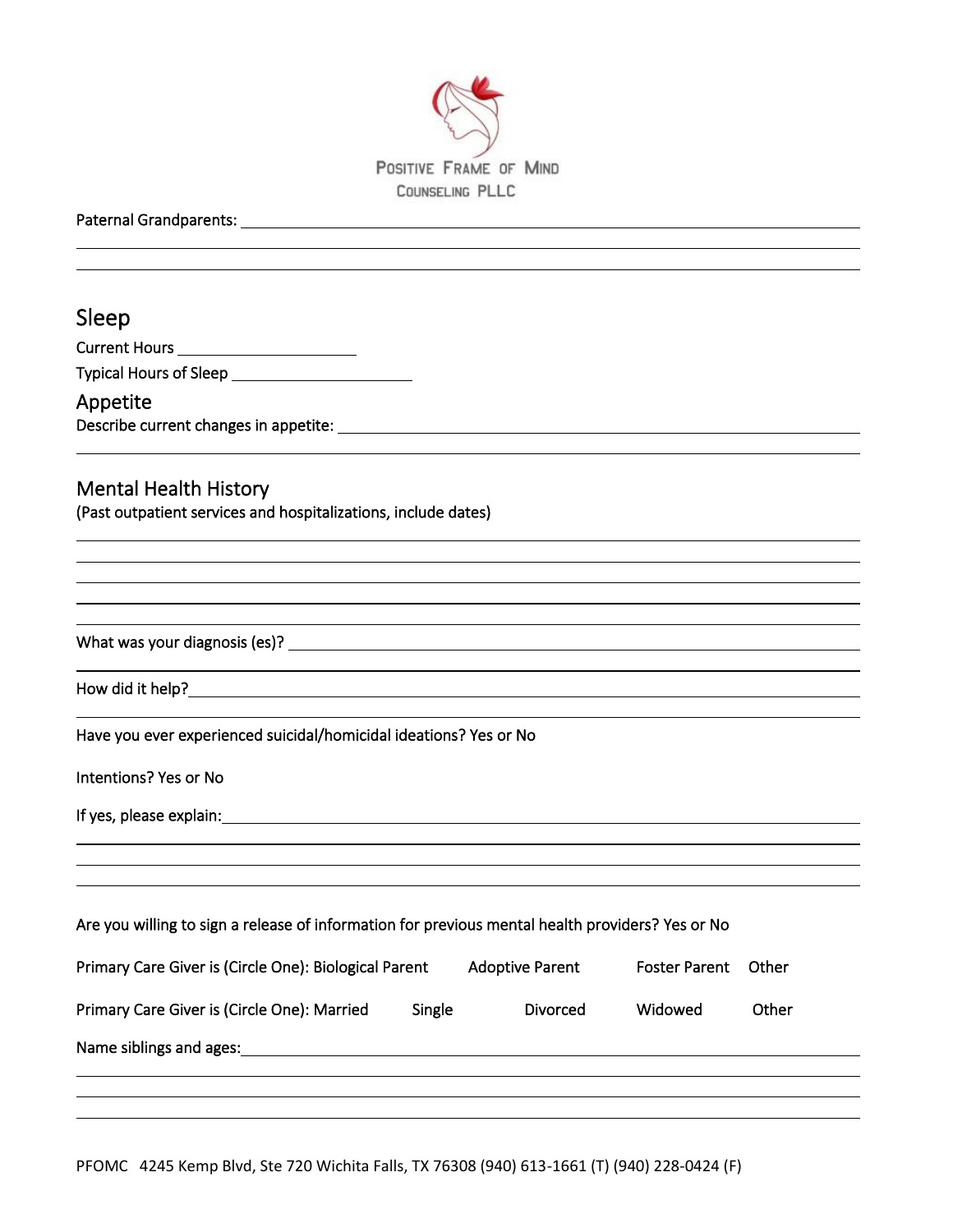

Paternal Grandparents:

 $\overline{a}$ 

| Sleep                                                                                                                                                                                                                                |       |
|--------------------------------------------------------------------------------------------------------------------------------------------------------------------------------------------------------------------------------------|-------|
|                                                                                                                                                                                                                                      |       |
|                                                                                                                                                                                                                                      |       |
| Appetite                                                                                                                                                                                                                             |       |
|                                                                                                                                                                                                                                      |       |
| <b>Mental Health History</b>                                                                                                                                                                                                         |       |
| (Past outpatient services and hospitalizations, include dates)                                                                                                                                                                       |       |
|                                                                                                                                                                                                                                      |       |
|                                                                                                                                                                                                                                      |       |
|                                                                                                                                                                                                                                      |       |
| Have you ever experienced suicidal/homicidal ideations? Yes or No                                                                                                                                                                    |       |
| Intentions? Yes or No                                                                                                                                                                                                                |       |
| If yes, please explain: <u>example and the set of the set of the set of the set of the set of the set of the set of the set of the set of the set of the set of the set of the set of the set of the set of the set of the set o</u> |       |
|                                                                                                                                                                                                                                      |       |
| Are you willing to sign a release of information for previous mental health providers? Yes or No                                                                                                                                     |       |
| Primary Care Giver is (Circle One): Biological Parent<br>Adoptive Parent Foster Parent Other                                                                                                                                         |       |
| Widowed<br>Primary Care Giver is (Circle One): Married<br>Single<br>Divorced                                                                                                                                                         | Other |
| Name siblings and ages:                                                                                                                                                                                                              |       |
|                                                                                                                                                                                                                                      |       |

PFOMC 4245 Kemp Blvd, Ste 720 Wichita Falls, TX 76308 (940) 613-1661 (T) (940) 228-0424 (F)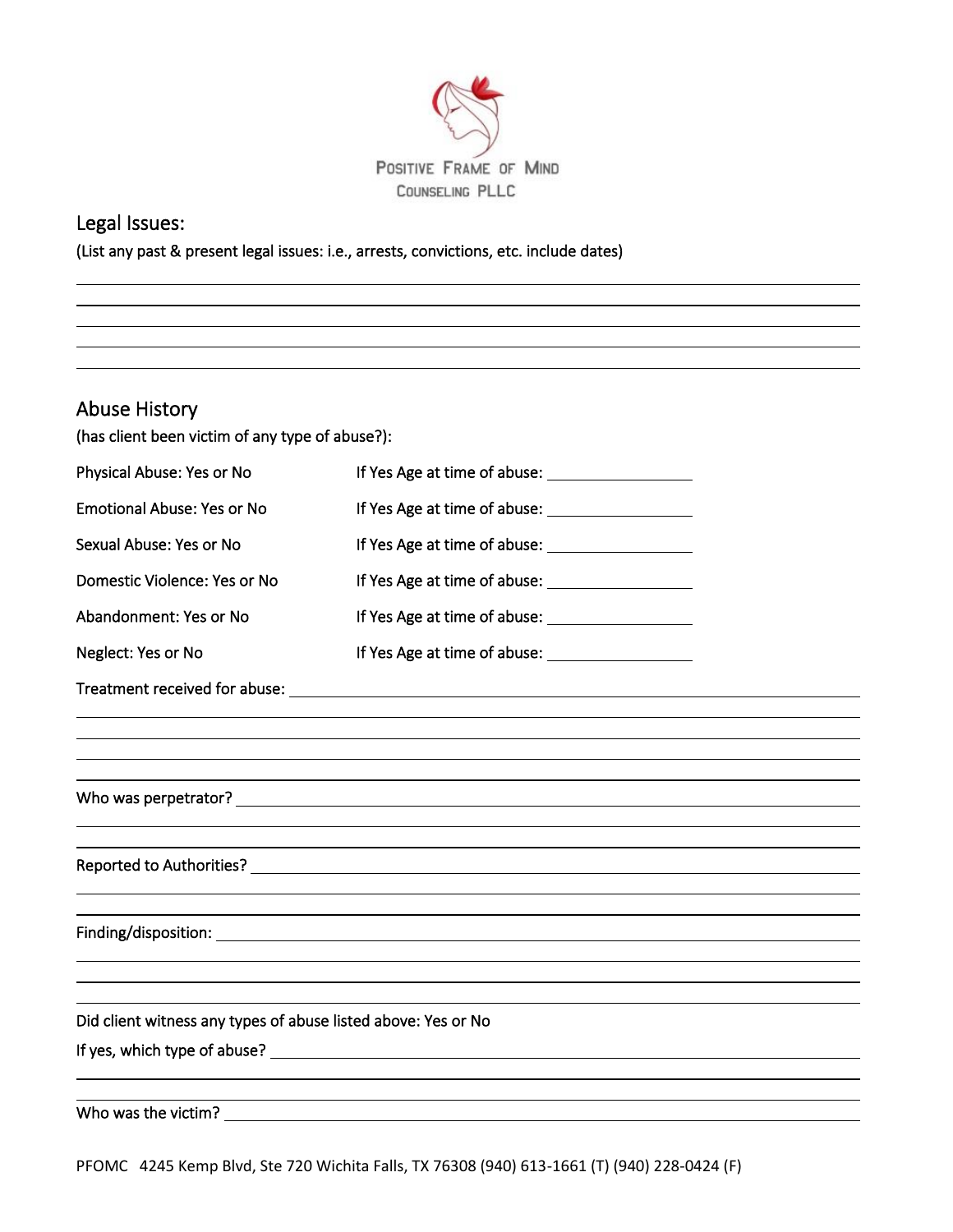

## Legal Issues:

 

(List any past & present legal issues: i.e., arrests, convictions, etc. include dates)

| <b>Abuse History</b>                                          |                                                                                                                                                                                                                                      |  |
|---------------------------------------------------------------|--------------------------------------------------------------------------------------------------------------------------------------------------------------------------------------------------------------------------------------|--|
| (has client been victim of any type of abuse?):               |                                                                                                                                                                                                                                      |  |
| Physical Abuse: Yes or No                                     |                                                                                                                                                                                                                                      |  |
| <b>Emotional Abuse: Yes or No</b>                             | If Yes Age at time of abuse: <u>contained</u>                                                                                                                                                                                        |  |
| Sexual Abuse: Yes or No                                       |                                                                                                                                                                                                                                      |  |
| Domestic Violence: Yes or No                                  | If Yes Age at time of abuse: <u>and the same of the set of the set of the set of the set of the set of the set of the set of the set of the set of the set of the set of the set of the set of the set of the set of the set of </u> |  |
| Abandonment: Yes or No                                        |                                                                                                                                                                                                                                      |  |
| Neglect: Yes or No                                            |                                                                                                                                                                                                                                      |  |
|                                                               |                                                                                                                                                                                                                                      |  |
|                                                               |                                                                                                                                                                                                                                      |  |
|                                                               |                                                                                                                                                                                                                                      |  |
|                                                               |                                                                                                                                                                                                                                      |  |
|                                                               |                                                                                                                                                                                                                                      |  |
|                                                               |                                                                                                                                                                                                                                      |  |
|                                                               |                                                                                                                                                                                                                                      |  |
|                                                               |                                                                                                                                                                                                                                      |  |
|                                                               |                                                                                                                                                                                                                                      |  |
|                                                               |                                                                                                                                                                                                                                      |  |
| Did client witness any types of abuse listed above: Yes or No |                                                                                                                                                                                                                                      |  |
|                                                               |                                                                                                                                                                                                                                      |  |
|                                                               |                                                                                                                                                                                                                                      |  |
|                                                               |                                                                                                                                                                                                                                      |  |

PFOMC 4245 Kemp Blvd, Ste 720 Wichita Falls, TX 76308 (940) 613-1661 (T) (940) 228-0424 (F)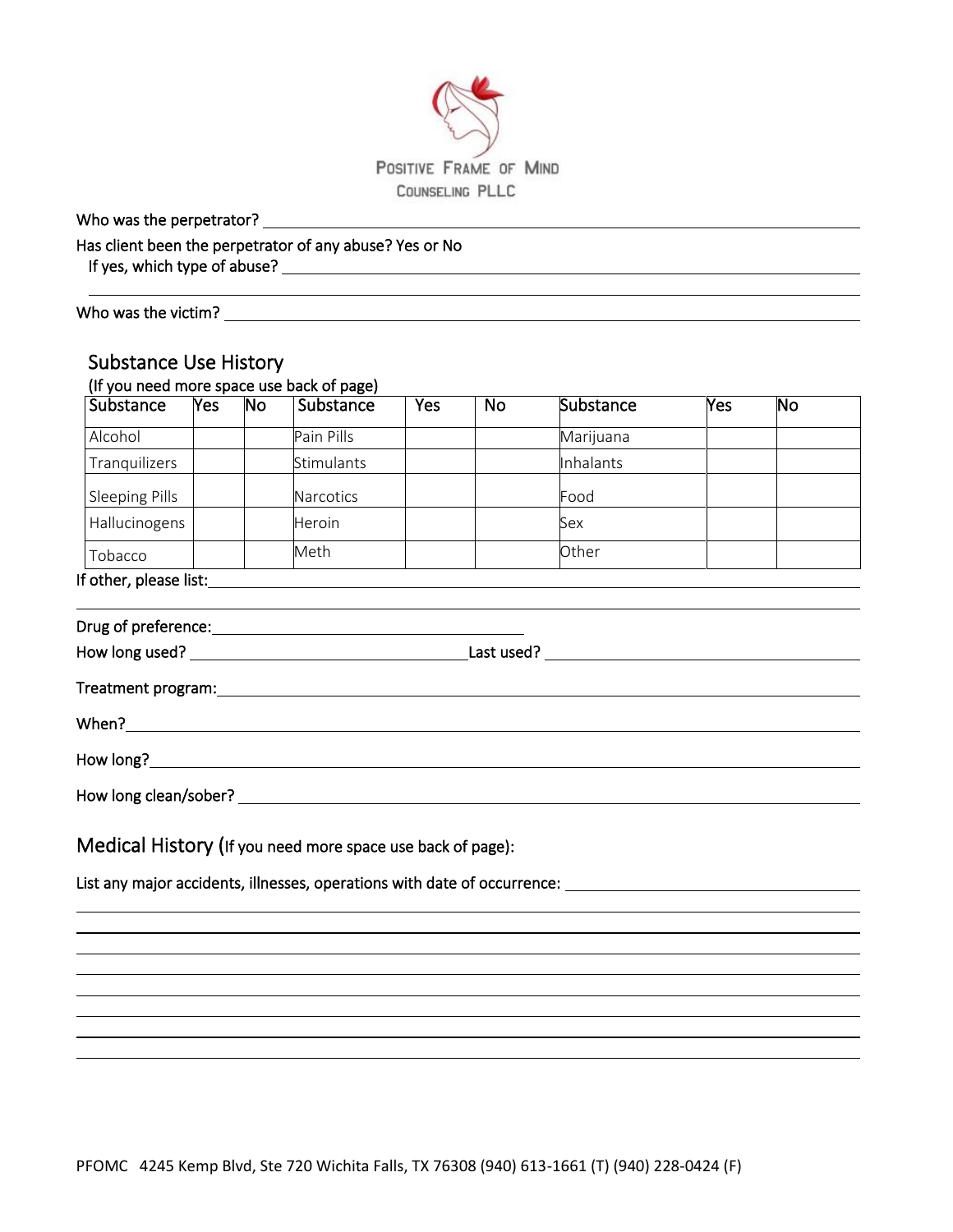

l,

Who was the perpetrator?

Has client been the perpetrator of any abuse? Yes or No

If yes, which type of abuse?

Who was the victim? The victimes of the victimes of the victimes of the victimes of the victimes of the victim

 $\overline{a}$ 

### Substance Use History

|                       | Yes | No. | Substance                                                                                                                                                                                                                      | Yes | <b>No</b> | Substance                                                                | Yes | No |
|-----------------------|-----|-----|--------------------------------------------------------------------------------------------------------------------------------------------------------------------------------------------------------------------------------|-----|-----------|--------------------------------------------------------------------------|-----|----|
| Alcohol               |     |     | Pain Pills                                                                                                                                                                                                                     |     |           | Marijuana                                                                |     |    |
| Tranquilizers         |     |     | Stimulants                                                                                                                                                                                                                     |     |           | Inhalants                                                                |     |    |
| <b>Sleeping Pills</b> |     |     | Narcotics                                                                                                                                                                                                                      |     |           | Food                                                                     |     |    |
| Hallucinogens         |     |     | Heroin                                                                                                                                                                                                                         |     |           | Sex                                                                      |     |    |
| Tobacco               |     |     | Meth                                                                                                                                                                                                                           |     |           | Other                                                                    |     |    |
|                       |     |     |                                                                                                                                                                                                                                |     |           |                                                                          |     |    |
|                       |     |     |                                                                                                                                                                                                                                |     |           |                                                                          |     |    |
|                       |     |     |                                                                                                                                                                                                                                |     |           |                                                                          |     |    |
|                       |     |     |                                                                                                                                                                                                                                |     |           |                                                                          |     |    |
|                       |     |     | Treatment program: North and Second Contract and Contract of the Contract of Treatment and Contract of the Contract of Treatment and Contract of Treatment and Contract of Treatment and Contract of Treatment and Contract of |     |           |                                                                          |     |    |
|                       |     |     |                                                                                                                                                                                                                                |     |           |                                                                          |     |    |
|                       |     |     |                                                                                                                                                                                                                                |     |           |                                                                          |     |    |
|                       |     |     |                                                                                                                                                                                                                                |     |           |                                                                          |     |    |
|                       |     |     |                                                                                                                                                                                                                                |     |           |                                                                          |     |    |
|                       |     |     |                                                                                                                                                                                                                                |     |           |                                                                          |     |    |
|                       |     |     |                                                                                                                                                                                                                                |     |           |                                                                          |     |    |
|                       |     |     | Medical History (If you need more space use back of page):                                                                                                                                                                     |     |           |                                                                          |     |    |
|                       |     |     |                                                                                                                                                                                                                                |     |           |                                                                          |     |    |
|                       |     |     |                                                                                                                                                                                                                                |     |           | List any major accidents, illnesses, operations with date of occurrence: |     |    |
|                       |     |     |                                                                                                                                                                                                                                |     |           |                                                                          |     |    |
|                       |     |     |                                                                                                                                                                                                                                |     |           |                                                                          |     |    |
|                       |     |     |                                                                                                                                                                                                                                |     |           |                                                                          |     |    |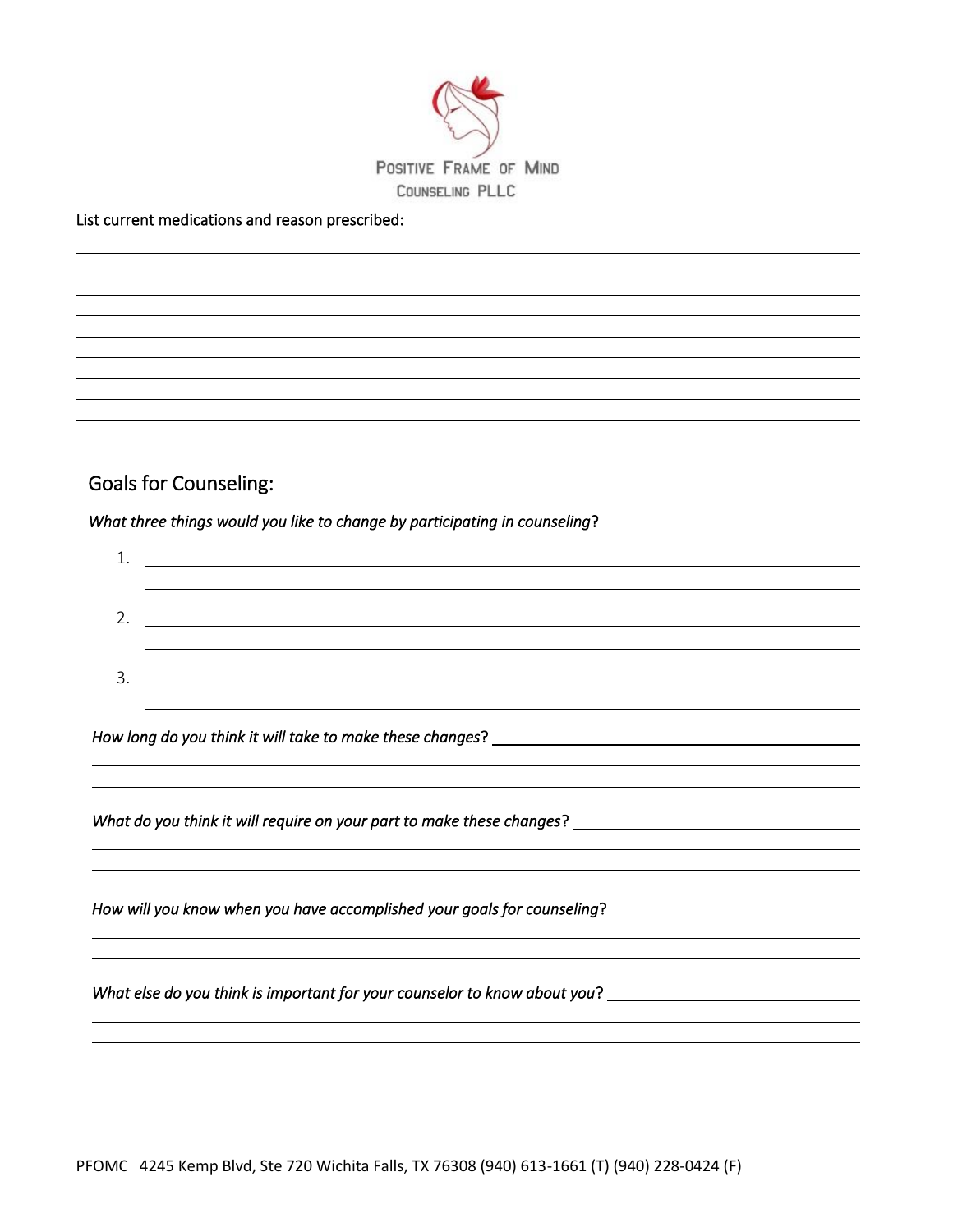

#### List current medications and reason prescribed:

### Goals for Counseling:

 $\overline{a}$  l  $\overline{a}$  $\overline{a}$  

#### *What three things would you like to change by participating in counseling*?

| ᅩ  | <u> 1989 - Johann Barbara, martxa alemaniar amerikan a</u> |
|----|------------------------------------------------------------|
|    |                                                            |
| z. |                                                            |
|    |                                                            |
| 3. |                                                            |
|    |                                                            |

l,

i<br>L

l,

i<br>L

*How long do you think it will take to make these changes*?

*What do you think it will require on your part to make these changes*?

*How will you know when you have accomplished your goals for counseling*?

*What else do you think is important for your counselor to know about you*?